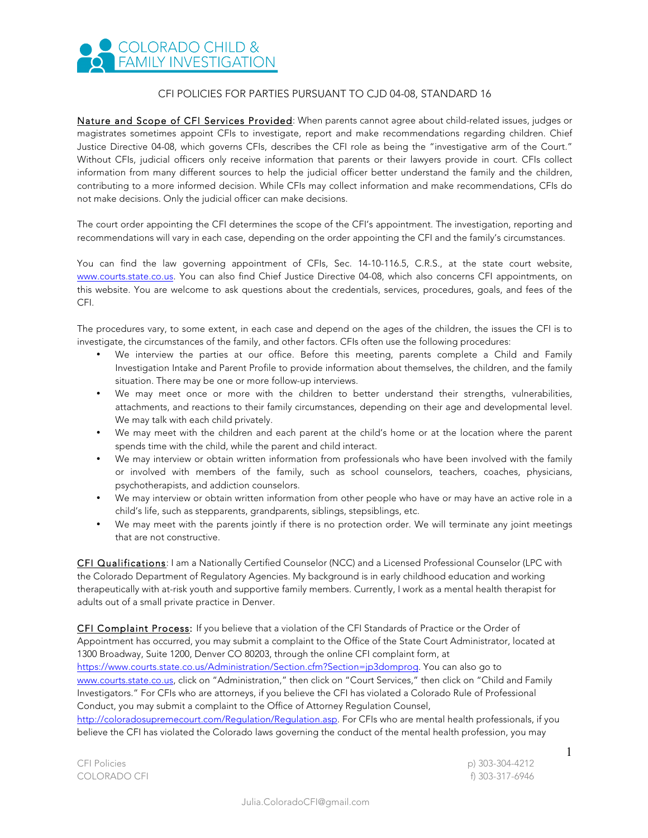## COLORADO CHILD & **C** FAMILY INVESTIGATION

## CFI POLICIES FOR PARTIES PURSUANT TO CJD 04-08, STANDARD 16

Nature and Scope of CFI Services Provided: When parents cannot agree about child-related issues, judges or magistrates sometimes appoint CFIs to investigate, report and make recommendations regarding children. Chief Justice Directive 04-08, which governs CFIs, describes the CFI role as being the "investigative arm of the Court." Without CFIs, judicial officers only receive information that parents or their lawyers provide in court. CFIs collect information from many different sources to help the judicial officer better understand the family and the children, contributing to a more informed decision. While CFIs may collect information and make recommendations, CFIs do not make decisions. Only the judicial officer can make decisions.

The court order appointing the CFI determines the scope of the CFI's appointment. The investigation, reporting and recommendations will vary in each case, depending on the order appointing the CFI and the family's circumstances.

You can find the law governing appointment of CFIs, Sec. 14-10-116.5, C.R.S., at the state court website, www.courts.state.co.us. You can also find Chief Justice Directive 04-08, which also concerns CFI appointments, on this website. You are welcome to ask questions about the credentials, services, procedures, goals, and fees of the CFI.

The procedures vary, to some extent, in each case and depend on the ages of the children, the issues the CFI is to investigate, the circumstances of the family, and other factors. CFIs often use the following procedures:

- We interview the parties at our office. Before this meeting, parents complete a Child and Family Investigation Intake and Parent Profile to provide information about themselves, the children, and the family situation. There may be one or more follow-up interviews.
- We may meet once or more with the children to better understand their strengths, vulnerabilities, attachments, and reactions to their family circumstances, depending on their age and developmental level. We may talk with each child privately.
- We may meet with the children and each parent at the child's home or at the location where the parent spends time with the child, while the parent and child interact.
- We may interview or obtain written information from professionals who have been involved with the family or involved with members of the family, such as school counselors, teachers, coaches, physicians, psychotherapists, and addiction counselors.
- We may interview or obtain written information from other people who have or may have an active role in a child's life, such as stepparents, grandparents, siblings, stepsiblings, etc.
- We may meet with the parents jointly if there is no protection order. We will terminate any joint meetings that are not constructive.

CFI Qualifications: I am a Nationally Certified Counselor (NCC) and a Licensed Professional Counselor (LPC with the Colorado Department of Regulatory Agencies. My background is in early childhood education and working therapeutically with at-risk youth and supportive family members. Currently, I work as a mental health therapist for adults out of a small private practice in Denver.

CFI Complaint Process: If you believe that a violation of the CFI Standards of Practice or the Order of Appointment has occurred, you may submit a complaint to the Office of the State Court Administrator, located at 1300 Broadway, Suite 1200, Denver CO 80203, through the online CFI complaint form, at https://www.courts.state.co.us/Administration/Section.cfm?Section=jp3domprog. You can also go to www.courts.state.co.us, click on "Administration," then click on "Court Services," then click on "Child and Family Investigators." For CFIs who are attorneys, if you believe the CFI has violated a Colorado Rule of Professional Conduct, you may submit a complaint to the Office of Attorney Regulation Counsel, http://coloradosupremecourt.com/Regulation/Regulation.asp. For CFIs who are mental health professionals, if you believe the CFI has violated the Colorado laws governing the conduct of the mental health profession, you may

CFI Policies p) 303-304-4212 COLORADO CFI f) 303-317-6946 1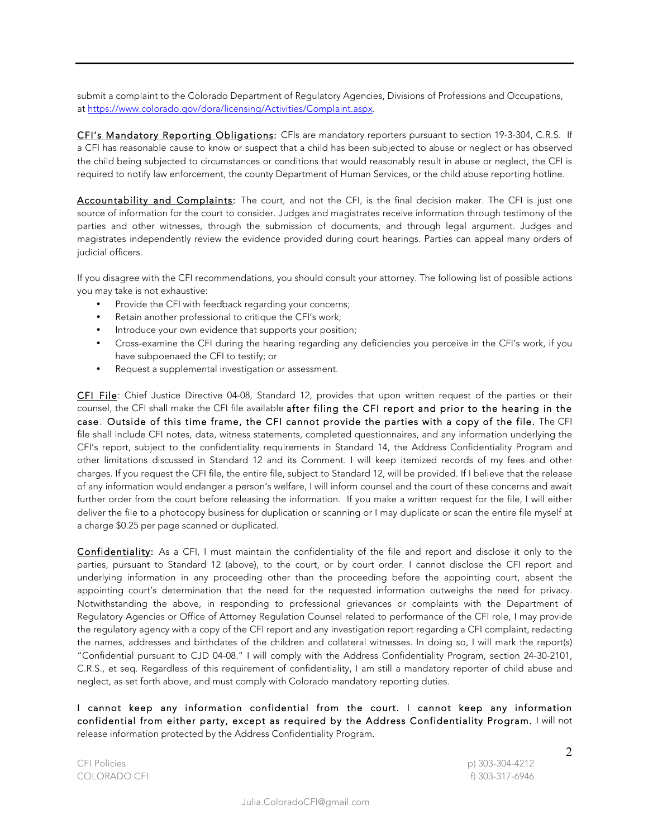submit a complaint to the Colorado Department of Regulatory Agencies, Divisions of Professions and Occupations, at https://www.colorado.gov/dora/licensing/Activities/Complaint.aspx.

CFI's Mandatory Reporting Obligations: CFIs are mandatory reporters pursuant to section 19-3-304, C.R.S. If a CFI has reasonable cause to know or suspect that a child has been subjected to abuse or neglect or has observed the child being subjected to circumstances or conditions that would reasonably result in abuse or neglect, the CFI is required to notify law enforcement, the county Department of Human Services, or the child abuse reporting hotline.

Accountability and Complaints: The court, and not the CFI, is the final decision maker. The CFI is just one source of information for the court to consider. Judges and magistrates receive information through testimony of the parties and other witnesses, through the submission of documents, and through legal argument. Judges and magistrates independently review the evidence provided during court hearings. Parties can appeal many orders of judicial officers.

If you disagree with the CFI recommendations, you should consult your attorney. The following list of possible actions you may take is not exhaustive:

- Provide the CFI with feedback regarding your concerns;
- Retain another professional to critique the CFI's work;
- Introduce your own evidence that supports your position;
- Cross-examine the CFI during the hearing regarding any deficiencies you perceive in the CFI's work, if you have subpoenaed the CFI to testify; or
- Request a supplemental investigation or assessment.

CFI File: Chief Justice Directive 04-08, Standard 12, provides that upon written request of the parties or their counsel, the CFI shall make the CFI file available after filing the CFI report and prior to the hearing in the case. Outside of this time frame, the CFI cannot provide the parties with a copy of the file. The CFI file shall include CFI notes, data, witness statements, completed questionnaires, and any information underlying the CFI's report, subject to the confidentiality requirements in Standard 14, the Address Confidentiality Program and other limitations discussed in Standard 12 and its Comment. I will keep itemized records of my fees and other charges. If you request the CFI file, the entire file, subject to Standard 12, will be provided. If I believe that the release of any information would endanger a person's welfare, I will inform counsel and the court of these concerns and await further order from the court before releasing the information. If you make a written request for the file, I will either deliver the file to a photocopy business for duplication or scanning or I may duplicate or scan the entire file myself at a charge \$0.25 per page scanned or duplicated.

Confidentiality: As a CFI, I must maintain the confidentiality of the file and report and disclose it only to the parties, pursuant to Standard 12 (above), to the court, or by court order. I cannot disclose the CFI report and underlying information in any proceeding other than the proceeding before the appointing court, absent the appointing court's determination that the need for the requested information outweighs the need for privacy. Notwithstanding the above, in responding to professional grievances or complaints with the Department of Regulatory Agencies or Office of Attorney Regulation Counsel related to performance of the CFI role, I may provide the regulatory agency with a copy of the CFI report and any investigation report regarding a CFI complaint, redacting the names, addresses and birthdates of the children and collateral witnesses. In doing so, I will mark the report(s) "Confidential pursuant to CJD 04-08." I will comply with the Address Confidentiality Program, section 24-30-2101, C.R.S., et seq. Regardless of this requirement of confidentiality, I am still a mandatory reporter of child abuse and neglect, as set forth above, and must comply with Colorado mandatory reporting duties.

I cannot keep any information confidential from the court. I cannot keep any information confidential from either party, except as required by the Address Confidentiality Program. I will not release information protected by the Address Confidentiality Program.

2